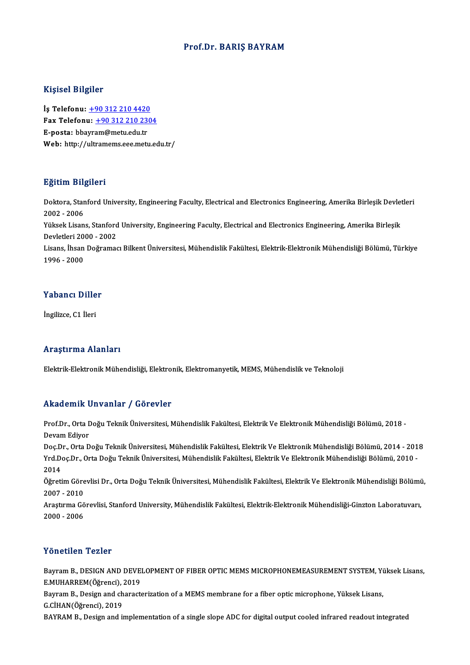### Prof.Dr. BARIŞ BAYRAM

### Kişisel Bilgiler

Kişisel Bilgiler<br>İş Telefonu: <u>+90 312 210 4420</u><br>Fax Telefonu: +90 212 210 220 1133001 2115101<br>İş Telefonu: <u>+90 312 210 4420</u><br>Fax Telefonu: <u>+90 312 210 2304</u><br>Fassta: hhayram@mety.edu.tr İş Telefonu: <u>+90 312 210 4420</u><br>Fax Telefonu: <u>+90 312 210 23</u><br>E-posta: bba[yr](tel:+90 312 210 4420)[am@metu.edu.tr](tel:+90 312 210 2304)<br>Web. bttp://ultrememe.ece.met. Fax Telefonu: <u>+90 312 210 2304</u><br>E-posta: bbayram@metu.edu.tr<br>Web: http://ultramems.eee.metu.edu.tr/

### Eğitim Bilgileri

**Eğitim Bilgileri**<br>Doktora, Stanford University, Engineering Faculty, Electrical and Electronics Engineering, Amerika Birleşik Devletleri<br>2002 - 2006 2002 -2006 Doktora, Stanford University, Engineering Faculty, Electrical and Electronics Engineering, Amerika Birleşik Devlet<br>2002 - 2006<br>Yüksek Lisans, Stanford University, Engineering Faculty, Electrical and Electronics Engineering

Yüksek Lisans, Stanford University, Engineering Faculty, Electrical and Electronics Engineering, Amerika Birleşik Devletleri 2000 - 2002

Lisans, İhsan Doğramacı Bilkent Üniversitesi, Mühendislik Fakültesi, Elektrik-Elektronik Mühendisliği Bölümü, Türkiye<br>1996 - 2000

### Yabancı Diller

İngilizce, C1 İleri

### Araştırma Alanları

Elektrik-ElektronikMühendisliği,Elektronik,Elektromanyetik,MEMS,MühendislikveTeknoloji

### Akademik Unvanlar / Görevler

**Akademik Unvanlar / Görevler**<br>Prof.Dr., Orta Doğu Teknik Üniversitesi, Mühendislik Fakültesi, Elektrik Ve Elektronik Mühendisliği Bölümü, 2018 -<br>Davam Ediyar rmaacmm<br>Prof.Dr., Orta I<br>Devam Ediyor<br>Des.Dr., Orta D Prof.Dr., Orta Doğu Teknik Üniversitesi, Mühendislik Fakültesi, Elektrik Ve Elektronik Mühendisliği Bölümü, 2018 -<br>Devam Ediyor<br>Doç.Dr., Orta Doğu Teknik Üniversitesi, Mühendislik Fakültesi, Elektrik Ve Elektronik Mühendis

Devam Ediyor<br>Doç.Dr., Orta Doğu Teknik Üniversitesi, Mühendislik Fakültesi, Elektrik Ve Elektronik Mühendisliği Bölümü, 2014<br>Yrd.Doç.Dr., Orta Doğu Teknik Üniversitesi, Mühendislik Fakültesi, Elektrik Ve Elektronik Mühendi Doç.D<br>Yrd.D<br>2014<br>Öğreti Yrd.Doç.Dr., Orta Doğu Teknik Üniversitesi, Mühendislik Fakültesi, Elektrik Ve Elektronik Mühendisliği Bölümü, 2010 -<br>2014<br>Öğretim Görevlisi Dr., Orta Doğu Teknik Üniversitesi, Mühendislik Fakültesi, Elektrik Ve Elektronik

2014<br>Öğretim Göre<br>2007 - 2010<br>Arastuma Gö Öğretim Görevlisi Dr., Orta Doğu Teknik Üniversitesi, Mühendislik Fakültesi, Elektrik Ve Elektronik Mühendisliği Bölümü<br>2007 - 2010<br>Araştırma Görevlisi, Stanford University, Mühendislik Fakültesi, Elektrik-Elektronik Mühen

2007 - 2010<br>Araştırma Gö<br>2000 - 2006 Yönetilen Tezler

Yönetilen Tezler<br>Bayram B., DESIGN AND DEVELOPMENT OF FIBER OPTIC MEMS MICROPHONEMEASUREMENT SYSTEM, Yüksek Lisans,<br>E MUHAPPEM(Öğrengi), 2019 TONOENON TONOE<br>Bayram B., DESIGN AND DEVE!<br>E.MUHARREM(Öğrenci), 2019<br>Bayram B. Design and sharact Bayram B., DESIGN AND DEVELOPMENT OF FIBER OPTIC MEMS MICROPHONEMEASUREMENT SYSTEM, Yu<br>E.MUHARREM(Öğrenci), 2019<br>Bayram B., Design and characterization of a MEMS membrane for a fiber optic microphone, Yüksek Lisans,<br>C CHAN

E.MUHARREM(Öğrenci), 2015<br>Bayram B., Design and ch<br>G.CİHAN(Öğrenci), 2019<br>BAYRAM B. Design and i Bayram B., Design and characterization of a MEMS membrane for a fiber optic microphone, Yüksek Lisans,<br>G.CİHAN(Öğrenci), 2019<br>BAYRAM B., Design and implementation of a single slope ADC for digital output cooled infrared re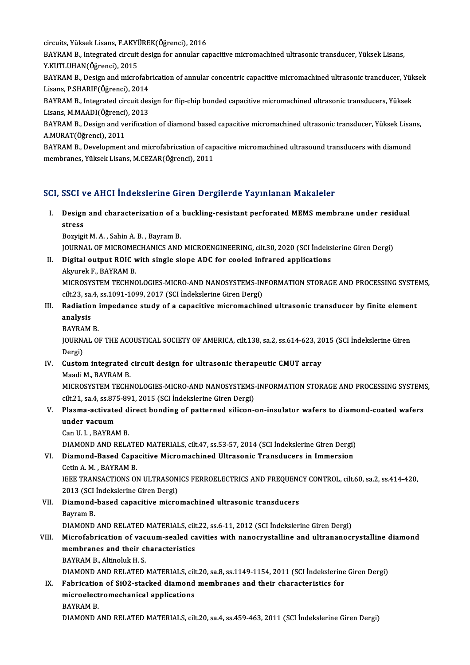circuits, Yüksek Lisans, F.AKYÜREK(Öğrenci), 2016<br>PAVRAM B. Integrated girguit desirn for annular se

BAYRAM B., Integrated circuit design for annular capacitive micromachined ultrasonic transducer, Yüksek Lisans,<br>Y.KUTLUHAN(Öğrenci), 2015 circuits, Yüksek Lisans, F.AKY<br>BAYRAM B., Integrated circuit<br>Y.KUTLUHAN(Öğrenci), 2015<br>BAYRAM B., Dosirn and misno BAYRAM B., Integrated circuit design for annular capacitive micromachined ultrasonic transducer, Yüksek Lisans,<br>Y.KUTLUHAN(Öğrenci), 2015<br>BAYRAM B., Design and microfabrication of annular concentric capacitive micromachine

Y.KUTLUHAN(Öğrenci), 2015<br>BAYRAM B., Design and microfabı<br>Lisans, P.SHARIF(Öğrenci), 2014<br>BAYRAM B. Integrated girguit des BAYRAM B., Design and microfabrication of annular concentric capacitive micromachined ultrasonic trancducer, Yük<br>Lisans, P.SHARIF(Öğrenci), 2014<br>BAYRAM B., Integrated circuit design for flip-chip bonded capacitive micromac

Lisans, P.SHARIF(Öğrenci), 2014<br>BAYRAM B., Integrated circuit des<br>Lisans, M.MAADI(Öğrenci), 2013<br>BAYRAM B., Desirn and verificati BAYRAM B., Integrated circuit design for flip-chip bonded capacitive micromachined ultrasonic transducers, Yüksek<br>Lisans, M.MAADI(Öğrenci), 2013<br>BAYRAM B., Design and verification of diamond based capacitive micromachined

Lisans, M.MAADI(Öğrenci), 2013<br>BAYRAM B., Design and verification of diamond based capacitive micromachined ultrasonic transducer, Yüksek Lisans,<br>A.MURAT(Öğrenci), 2011

BAYRAM B., Development and microfabrication of capacitive micromachined ultrasound transducers with diamond membranes,YüksekLisans,M.CEZAR(Öğrenci),2011

## SCI, SSCI ve AHCI İndekslerine Giren Dergilerde Yayınlanan Makaleler

I. Design and characterization of a buckling-resistant perforated MEMSmembrane under residual bour<br>Design<br>stress **Design and characterization of a<br>stress<br>Bozyigit M. A. , Sahin A. B. , Bayram B.<br>JOUDNAL OF MICBOMECHANICS AND** 

stress<br>Bozyigit M. A. , Sahin A. B. , Bayram B.<br>JOURNAL OF MICROMECHANICS AND MICROENGINEERING, cilt.30, 2020 (SCI İndekslerine Giren Dergi)

Bozyigit M. A. , Sahin A. B. , Bayram B.<br>JOURNAL OF MICROMECHANICS AND MICROENGINEERING, cilt.30, 2020 (SCI Indeks<br>II. Digital output ROIC with single slope ADC for cooled infrared applications<br>Alanyak E. BAYRAM B. **JOURNAL OF MICROME<br>Digital output ROIC v<br>Akyurek F., BAYRAM B.<br>MICROSYSTEM TECHNO** Digital output ROIC with single slope ADC for cooled infrared applications<br>Akyurek F., BAYRAM B.<br>MICROSYSTEM TECHNOLOGIES-MICRO-AND NANOSYSTEMS-INFORMATION STORAGE AND PROCESSING SYSTEMS,<br>sit 22, sa 4, ss 1091 1099, 2017 ( Akyurek F., BAYRAM B.<br>MICROSYSTEM TECHNOLOGIES-MICRO-AND NANOSYSTEMS-IN<br>cilt.23, sa.4, ss.1091-1099, 2017 (SCI İndekslerine Giren Dergi)<br>Padiation imnodance study of a sanasitiye misromashin MICROSYSTEM TECHNOLOGIES-MICRO-AND NANOSYSTEMS-INFORMATION STORAGE AND PROCESSING SYSTE<br>cilt.23, sa.4, ss.1091-1099, 2017 (SCI indekslerine Giren Dergi)<br>III. Radiation impedance study of a capacitive micromachined ultrason

# cilt.23, sa.<br>Radiatio:<br>analysis<br>PAVPAM Radiation<br>analysis<br>BAYRAM B.<br>JOUPNAL OF

**BAYRAM B** 

analysis<br>BAYRAM B.<br>JOURNAL OF THE ACOUSTICAL SOCIETY OF AMERICA, cilt.138, sa.2, ss.614-623, 2015 (SCI İndekslerine Giren<br>Dergi) JOURNAL OF THE ACOUSTICAL SOCIETY OF AMERICA, cilt.138, sa.2, ss.614-623, 20<br>Dergi)<br>IV. Custom integrated circuit design for ultrasonic therapeutic CMUT array<br>Maadi M. RAVRAM R

# Dergi)<br><mark>Custom integrated</mark><br>Maadi M., BAYRAM B.<br>MICDOSYSTEM TECHN

Custom integrated circuit design for ultrasonic therapeutic CMUT array<br>Maadi M., BAYRAM B.<br>MICROSYSTEM TECHNOLOGIES-MICRO-AND NANOSYSTEMS-INFORMATION STORAGE AND PROCESSING SYSTEMS,<br>S<sup>ilt 21</sup> .cc 4 .cc <sup>975</sup>.991, 2015 (SCL Maadi M., BAYRAM B.<br>MICROSYSTEM TECHNOLOGIES-MICRO-AND NANOSYSTEMS<br>cilt.21, sa.4, ss.875-891, 2015 (SCI İndekslerine Giren Dergi)<br>Plasma astivated direst bondina of nattaraçd silisan MICROSYSTEM TECHNOLOGIES-MICRO-AND NANOSYSTEMS-INFORMATION STORAGE AND PROCESSING SYSTEM:<br>cilt.21, sa.4, ss.875-891, 2015 (SCI indekslerine Giren Dergi)<br>V. Plasma-activated direct bonding of patterned silicon-on-insulator

## cilt.21, sa.4, ss.87<br>Plasma-activate<br>under vacuum<br>Can U.L. BAVRA! Plasma-activated d<br>under vacuum<br>Can U. I. , BAYRAM B.<br>DIAMOND AND BELA under vacuum<br>Can U. I. , BAYRAM B.<br>DIAMOND AND RELATED MATERIALS, cilt.47, ss.53-57, 2014 (SCI İndekslerine Giren Dergi)<br>Diamond Based Canasitive Misromasbined Ultrasonia Transdusers in Immersion

# Can U. I. , BAYRAM B.<br>DIAMOND AND RELATED MATERIALS, cilt.47, ss.53-57, 2014 (SCI İndekslerine Giren Dergi)<br>VI. Diamond-Based Capacitive Micromachined Ultrasonic Transducers in Immersion<br>Cetin A.M., BAYRAM B. DIAMOND AND RELATE<br>Diamond-Based Capa<br>Cetin A. M. , BAYRAM B.<br>IEEE TPANSACTIONS OI

Diamond-Based Capacitive Micromachined Ultrasonic Transducers in Immersion<br>Cetin A. M. , BAYRAM B.<br>IEEE TRANSACTIONS ON ULTRASONICS FERROELECTRICS AND FREQUENCY CONTROL, cilt.60, sa.2, ss.414-420,<br>2012 (SCLIndekslerine Cir Cetin A. M. , BAYRAM B.<br>IEEE TRANSACTIONS ON ULTRASON<br>2013 (SCI İndekslerine Giren Dergi)<br>Diamond based sanasitiye misro IEEE TRANSACTIONS ON ULTRASONICS FERROELECTRICS AND FREQUENO<br>2013 (SCI İndekslerine Giren Dergi)<br>VII. Diamond-based capacitive micromachined ultrasonic transducers<br>Payram P

# 2013 (SCI İndekslerine Giren Dergi)<br>VII. Diamond-based capacitive micromachined ultrasonic transducers<br>Bayram B.

DIAMOND AND RELATED MATERIALS, cilt.22, ss.6-11, 2012 (SCI İndekslerine Giren Dergi)

## Bayram B.<br>DIAMOND AND RELATED MATERIALS, cilt.22, ss.6-11, 2012 (SCI İndekslerine Giren Dergi)<br>VIII. Microfabrication of vacuum-sealed cavities with nanocrystalline and ultrananocrystalline diamond<br>mambranes and their shar DIAMOND AND RELATED MATERIALS, cilt<br>Microfabrication of vacuum-sealed ca<br>membranes and their characteristics<br>PAVPAM B. Altinolyk H.S. Microfabrication of vac<br>membranes and their cl<br>BAYRAM B., Altinoluk H. S.<br>DIAMOND AND BELATED. membranes and their characteristics<br>BAYRAM B., Altinoluk H. S.<br>DIAMOND AND RELATED MATERIALS, cilt.20, sa.8, ss.1149-1154, 2011 (SCI İndekslerine Giren Dergi)

## BAYRAM B., Altinoluk H. S.<br>DIAMOND AND RELATED MATERIALS, cilt.20, sa.8, ss.1149-1154, 2011 (SCI Indekslerine<br>IX. Fabrication of SiO2-stacked diamond membranes and their characteristics for<br>mianoalastromashanisal annisatio DIAMOND AND RELATED MATERIALS, cilt<br>Fabrication of SiO2-stacked diamond<br>microelectromechanical applications<br>PAVPAM P Fabricatio<br>microelect<br>BAYRAM B.<br>DIAMOND 4 microelectromechanical applications<br>BAYRAM B.<br>DIAMOND AND RELATED MATERIALS, cilt.20, sa.4, ss.459-463, 2011 (SCI İndekslerine Giren Dergi)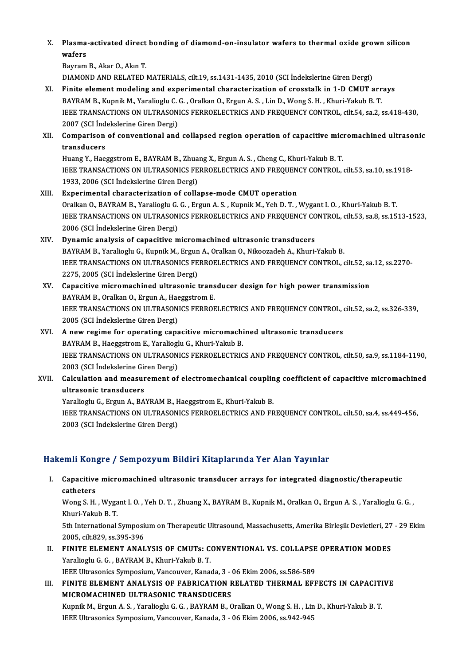X. Plasma-activated direct bonding of diamond-on-insulator wafers to thermal oxide grown silicon Plasma<br>wafers<br><sup>Paymam</sup> Plasma-activated direct<br>wafers<br>Bayram B., Akar O., Akın T.<br>DIAMOND AND BELATED.

wafers<br>Bayram B., Akar O., Akın T.<br>DIAMOND AND RELATED MATERIALS, cilt.19, ss.1431-1435, 2010 (SCI İndekslerine Giren Dergi)

XI. Finite elementmodeling and experimental characterization of crosstalk in 1-D CMUT arrays BAYRAM B., Kupnik M., Yaralioglu C. G., Oralkan O., Ergun A. S., Lin D., Wong S. H., Khuri-Yakub B. T. Finite element modeling and experimental characterization of crosstalk in 1-D CMUT arrays<br>BAYRAM B., Kupnik M., Yaralioglu C. G. , Oralkan O., Ergun A. S. , Lin D., Wong S. H. , Khuri-Yakub B. T.<br>IEEE TRANSACTIONS ON ULTRA BAYRAM B., Kupnik M., Yaralioglu C.<br>IEEE TRANSACTIONS ON ULTRASON<br>2007 (SCI İndekslerine Giren Dergi)<br>Comnarison of sonyantional and IEEE TRANSACTIONS ON ULTRASONICS FERROELECTRICS AND FREQUENCY CONTROL, cilt.54, sa.2, ss.418-430,<br>2007 (SCI İndekslerine Giren Dergi)<br>XII. Comparison of conventional and collapsed region operation of capacitive micromachin

# 2007 (SCI Ind<br>Comparison<br>transducers<br>Huang Y. Hae Comparison of conventional and collapsed region operation of capacitive mic:<br>transducers<br>Huang Y., Haeggstrom E., BAYRAM B., Zhuang X., Ergun A. S. , Cheng C., Khuri-Yakub B. T.<br>JEEE TRANSACTIONS ON ULTRASONICS EERROELECTR

transducers<br>Huang Y., Haeggstrom E., BAYRAM B., Zhuang X., Ergun A. S. , Cheng C., Khuri-Yakub B. T.<br>IEEE TRANSACTIONS ON ULTRASONICS FERROELECTRICS AND FREQUENCY CONTROL, cilt.53, sa.10, ss.1918-<br>1933, 2006 (SCI İndeksler Huang Y., Haeggstrom E., BAYRAM B., Zhuang X., Ergun A. S., Cheng C., Khuri-Yakub B. T.

- XIII. Experimental characterization of collapse-mode CMUT operation OralkanO.,BAYRAMB.,YaraliogluG.G. ,ErgunA.S. ,KupnikM.,YehD.T. ,Wygant I.O. ,Khuri-YakubB.T. Experimental characterization of collapse-mode CMUT operation<br>Oralkan O., BAYRAM B., Yaralioglu G. G. , Ergun A. S. , Kupnik M., Yeh D. T. , Wygant I. O. , Khuri-Yakub B. T<br>IEEE TRANSACTIONS ON ULTRASONICS FERROELECTRICS A Oralkan O., BAYRAM B., Yaralioglu G.<br>IEEE TRANSACTIONS ON ULTRASON<br>2006 (SCI İndekslerine Giren Dergi)<br>Dunamia analysis of sanasitiye m IEEE TRANSACTIONS ON ULTRASONICS FERROELECTRICS AND FREQUENCY CO<br>2006 (SCI Indekslerine Giren Dergi)<br>XIV. Dynamic analysis of capacitive micromachined ultrasonic transducers<br>PAVPAM B. Varaliacly G. Kunnik M. Excup A. Orali
- 2006 (SCI İndekslerine Giren Dergi)<br>Dynamic analysis of capacitive micromachined ultrasonic transducers<br>BAYRAM B., Yaralioglu G., Kupnik M., Ergun A., Oralkan O., Nikoozadeh A., Khuri-Yakub B. Dynamic analysis of capacitive micromachined ultrasonic transducers<br>BAYRAM B., Yaralioglu G., Kupnik M., Ergun A., Oralkan O., Nikoozadeh A., Khuri-Yakub B.<br>IEEE TRANSACTIONS ON ULTRASONICS FERROELECTRICS AND FREQUENCY CON BAYRAM B., Yaralioglu G., Kupnik M., Ergun<br>IEEE TRANSACTIONS ON ULTRASONICS FE<br>2275, 2005 (SCI İndekslerine Giren Dergi)<br>Canasitiya misramashinad ultrasanis i IEEE TRANSACTIONS ON ULTRASONICS FERROELECTRICS AND FREQUENCY CONTROL, cilt.52, sa<br>2275, 2005 (SCI Indekslerine Giren Dergi)<br>XV. Capacitive micromachined ultrasonic transducer design for high power transmission<br>RAYBAM B. O 2275, 2005 (SCI İndekslerine Giren Dergi)<br>XV. Capacitive micromachined ultrasonic transducer design for high power transmission

## IEEE TRANSACTIONS ON ULTRASONICS FERROELECTRICS AND FREQUENCY CONTROL, cilt.52, sa.2, ss.326-339,<br>2005 (SCI İndekslerine Giren Dergi) BAYRAM B., Oralkan O., Ergun A., Haeggstrom E. IEEE TRANSACTIONS ON ULTRASONICS FERROELECTRICS AND FREQUENCY CONTROL, a<br>2005 (SCI Indekslerine Giren Dergi)<br>XVI. A new regime for operating capacitive micromachined ultrasonic transducers<br>BAVBAM B, Hassestrom E, Varaliasl

## 2005 (SCI İndekslerine Giren Dergi)<br>**A new regime for operating capacitive micromach**i<br>BAYRAM B., Haeggstrom E., Yaralioglu G., Khuri-Yakub B.<br>JEEE TRANSACTIONS ON ULTRASONICS EERROELECTRIC A new regime for operating capacitive micromachined ultrasonic transducers<br>BAYRAM B., Haeggstrom E., Yaralioglu G., Khuri-Yakub B.<br>IEEE TRANSACTIONS ON ULTRASONICS FERROELECTRICS AND FREQUENCY CONTROL, cilt.50, sa.9, ss.11 BAYRAM B., Haeggstrom E., Yaraliogl<br>IEEE TRANSACTIONS ON ULTRASON<br>2003 (SCI İndekslerine Giren Dergi)<br>Coleulation and measurement of IEEE TRANSACTIONS ON ULTRASONICS FERROELECTRICS AND FREQUENCY CONTROL, cilt.50, sa.9, ss.1184-1190,<br>2003 (SCI İndekslerine Giren Dergi)<br>XVII. Calculation and measurement of electromechanical coupling coefficient of capacit

## 2003 (SCI İndekslerine Giren Dergi)<br>XVII. Calculation and measurement of electromechanical coupling coefficient of capacitive micromachined<br>ultrasonic transducers Calculation and measurement of electromechanical couplin<br>ultrasonic transducers<br>Yaralioglu G., Ergun A., BAYRAM B., Haeggstrom E., Khuri-Yakub B.<br>JEEE TRANSACTIONS ON ULTRASONICS EERROELECTRICS AND ER

IEEE TRANSACTIONS ON ULTRASONICS FERROELECTRICS AND FREQUENCY CONTROL, cilt.50, sa.4, ss.449-456, 2003 (SCI Indekslerine Giren Dergi) Yaralioglu G., Ergun A., BAYRAM B., F.<br>IEEE TRANSACTIONS ON ULTRASON<br>2003 (SCI İndekslerine Giren Dergi)

## Hakemli Kongre / Sempozyum Bildiri Kitaplarında Yer Alan Yayınlar

akemli Kongre / Sempozyum Bildiri Kitaplarında Yer Alan Yayınlar<br>I. Capacitive micromachined ultrasonic transducer arrays for integrated diagnostic/therapeutic<br>catheters Capacitive<br>Capacitive<br>Wong S. H Capacitive micromachined ultrasonic transducer arrays for integrated diagnostic/therapeutic<br>catheters<br>Wong S. H. , Wygant I. O. , Yeh D. T. , Zhuang X., BAYRAM B., Kupnik M., Oralkan O., Ergun A. S. , Yaralioglu G. G. ,<br>Kh

catheters<br>Wong S. H. , Wygant I. O. , Yeh D. T. , Zhuang X., BAYRAM B., Kupnik M., Oralkan O., Ergun A. S. , Yaralioglu G. G. ,<br>Khuri-Yakub B. T. Wong S. H. , Wygant I. O. , Yeh D. T. , Zhuang X., BAYRAM B., Kupnik M., Oralkan O., Ergun A. S. , Yaralioglu G. G. ,<br>Khuri-Yakub B. T.<br>5th International Symposium on Therapeutic Ultrasound, Massachusetts, Amerika Birleşik

Khuri-Yakub B. T.<br>5th International Symposi<br>2005, cilt.829, ss.395-396<br>EINITE ELEMENT ANAL 5th International Symposium on Therapeutic Ultrasound, Massachusetts, Amerika Birleşik Devletleri, 27<br>2005, cilt.829, ss.395-396<br>II. FINITE ELEMENT ANALYSIS OF CMUTs: CONVENTIONAL VS. COLLAPSE OPERATION MODES<br>Varaliagly C.

2005, cilt.829, ss.395-396<br>FINITE ELEMENT ANALYSIS OF CMUTs: C<br>Yaralioglu G. G. , BAYRAM B., Khuri-Yakub B. T.<br>JEEE Ultresoniss Symposium Vanasuver, Kanas FINITE ELEMENT ANALYSIS OF CMUTs: CONVENTIONAL VS. COLLAPSE<br>Yaralioglu G. G. , BAYRAM B., Khuri-Yakub B. T.<br>IEEE Ultrasonics Symposium, Vancouver, Kanada, 3 - 06 Ekim 2006, ss.586-589<br>EINITE ELEMENT ANALYSIS OF EARRICATION

Yaralioglu G. G. , BAYRAM B., Khuri-Yakub B. T.<br>IEEE Ultrasonics Symposium, Vancouver, Kanada, 3 - 06 Ekim 2006, ss.586-589<br>III. FINITE ELEMENT ANALYSIS OF FABRICATION RELATED THERMAL EFFECTS IN CAPACITIVE<br>MICROMACHINED II **IEEE Ultrasonics Symposium, Vancouver, Kanada, 3 - 1**<br>FINITE ELEMENT ANALYSIS OF FABRICATION F<br>MICROMACHINED ULTRASONIC TRANSDUCERS<br>Kunnik M. Ergun A. S., Vanaliegly G. G., BAVRAM B. G FINITE ELEMENT ANALYSIS OF FABRICATION RELATED THERMAL EFFECTS IN CAPACITI<br>MICROMACHINED ULTRASONIC TRANSDUCERS<br>Kupnik M., Ergun A. S. , Yaralioglu G. G. , BAYRAM B., Oralkan O., Wong S. H. , Lin D., Khuri-Yakub B. T.<br>JEEE

MICROMACHINED ULTRASONIC TRANSDUCERS<br>Kupnik M., Ergun A. S. , Yaralioglu G. G. , BAYRAM B., Oralkan O., Wong S. H. , Lin D., Khuri-Yakub B. T.<br>IEEE Ultrasonics Symposium, Vancouver, Kanada, 3 - 06 Ekim 2006, ss.942-945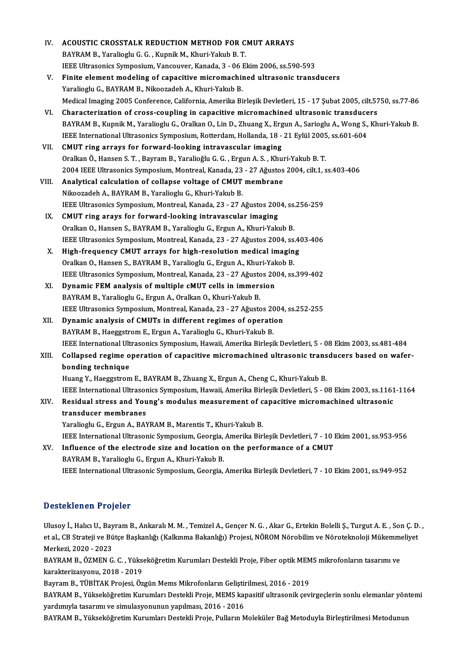| IV.                  | ACOUSTIC CROSSTALK REDUCTION METHOD FOR CMUT ARRAYS                                                                |
|----------------------|--------------------------------------------------------------------------------------------------------------------|
|                      | BAYRAM B., Yaralioglu G. G., Kupnik M., Khuri-Yakub B. T.                                                          |
|                      | IEEE Ultrasonics Symposium, Vancouver, Kanada, 3 - 06 Ekim 2006, ss.590-593                                        |
| V.                   | Finite element modeling of capacitive micromachined ultrasonic transducers                                         |
|                      | Yaralioglu G., BAYRAM B., Nikoozadeh A., Khuri-Yakub B.                                                            |
|                      | Medical Imaging 2005 Conference, California, Amerika Birleşik Devletleri, 15 - 17 Şubat 2005, cilt.5750, ss.77-86  |
| VI.                  | Characterization of cross-coupling in capacitive micromachined ultrasonic transducers                              |
|                      | BAYRAM B., Kupnik M., Yaralioglu G., Oralkan O., Lin D., Zhuang X., Ergun A., Sarioglu A., Wong S., Khuri-Yakub B. |
|                      | IEEE International Ultrasonics Symposium, Rotterdam, Hollanda, 18 - 21 Eylül 2005, ss.601-604                      |
| VII.                 | CMUT ring arrays for forward-looking intravascular imaging                                                         |
|                      | Oralkan Ö., Hansen S. T., Bayram B., Yaralioğlu G. G., Ergun A. S., Khuri-Yakub B. T.                              |
|                      | 2004 IEEE Ultrasonics Symposium, Montreal, Kanada, 23 - 27 Ağustos 2004, cilt.1, ss.403-406                        |
| VIII.                | Analytical calculation of collapse voltage of CMUT membrane                                                        |
|                      | Nikoozadeh A., BAYRAM B., Yaralioglu G., Khuri-Yakub B.                                                            |
|                      | IEEE Ultrasonics Symposium, Montreal, Kanada, 23 - 27 Ağustos 2004, ss.256-259                                     |
| IX.                  | CMUT ring arays for forward-looking intravascular imaging                                                          |
|                      | Oralkan O., Hansen S., BAYRAM B., Yaralioglu G., Ergun A., Khuri-Yakub B.                                          |
|                      | IEEE Ultrasonics Symposium, Montreal, Kanada, 23 - 27 Ağustos 2004, ss.403-406                                     |
| Х.                   | High-frequency CMUT arrays for high-resolution medical imaging                                                     |
|                      | Oralkan O., Hansen S., BAYRAM B., Yaralioglu G., Ergun A., Khuri-Yakob B.                                          |
|                      | IEEE Ultrasonics Symposium, Montreal, Kanada, 23 - 27 Ağustos 2004, ss.399-402                                     |
| XI.                  | Dynamic FEM analysis of multiple cMUT cells in immersion                                                           |
|                      | BAYRAM B., Yaralioglu G., Ergun A., Oralkan O., Khuri-Yakub B.                                                     |
|                      | IEEE Ultrasonics Symposium, Montreal, Kanada, 23 - 27 Ağustos 2004, ss 252-255                                     |
| XII.                 | Dynamic analysis of CMUTs in different regimes of operation                                                        |
|                      | BAYRAM B., Haeggstrom E., Ergun A., Yaralioglu G., Khuri-Yakub B.                                                  |
|                      | IEEE International Ultrasonics Symposium, Hawaii, Amerika Birleşik Devletleri, 5 - 08 Ekim 2003, ss.481-484        |
| XIII.                | Collapsed regime operation of capacitive micromachined ultrasonic transducers based on wafer-                      |
|                      | bonding technique                                                                                                  |
|                      | Huang Y., Haeggstrom E., BAYRAM B., Zhuang X., Ergun A., Cheng C., Khuri-Yakub B.                                  |
|                      | IEEE International Ultrasonics Symposium, Hawaii, Amerika Birleşik Devletleri, 5 - 08 Ekim 2003, ss.1161-1164      |
| XIV.                 | Residual stress and Young's modulus measurement of capacitive micromachined ultrasonic                             |
|                      | transducer membranes                                                                                               |
|                      | Yaralioglu G., Ergun A., BAYRAM B., Marentis T., Khuri-Yakub B.                                                    |
|                      | IEEE International Ultrasonic Symposium, Georgia, Amerika Birleşik Devletleri, 7 - 10 Ekim 2001, ss.953-956        |
| XV.                  | Influence of the electrode size and location on the performance of a CMUT                                          |
|                      | BAYRAM B., Yaralioglu G., Ergun A., Khuri-Yakub B.                                                                 |
|                      | IEEE International Ultrasonic Symposium, Georgia, Amerika Birleşik Devletleri, 7 - 10 Ekim 2001, ss.949-952        |
|                      |                                                                                                                    |
| Desteklenen Projeler |                                                                                                                    |

Ulusoy İ., Halıcı U., Bayram B., Ankaralı M. M. , Temizel A., Gençer N. G. , Akar G., Ertekin Bolelli Ş., Turgut A. E. , Son Ç. D. , e esteklenen in referer<br>Ulusoy İ., Halıcı U., Bayram B., Ankaralı M. M. , Temizel A., Gençer N. G. , Akar G., Ertekin Bolelli Ş., Turgut A. E. , Son Ç. D.<br>et al., CB Strateji ve Bütçe Başkanlığı (Kalkınma Bakanlığı) Projes Ulusoy İ., Halıcı U., Bay<br>et al., CB Strateji ve Bü<br>Merkezi, 2020 - 2023<br>BAYBAM B., ÖZMEN C et al., CB Strateji ve Bütçe Başkanlığı (Kalkınma Bakanlığı) Projesi, NÖROM Nörobilim ve Nöroteknoloji Mükemme<br>Merkezi, 2020 - 2023<br>BAYRAM B., ÖZMEN G. C. , Yükseköğretim Kurumları Destekli Proje, Fiber optik MEMS mikrofon

Merkezi, 2020 - 2023<br>BAYRAM B., ÖZMEN G. C. , Yükse<br>karakterizasyonu, 2018 - 2019<br>Bayram B., Tüpira*k Projesi, Öz* BAYRAM B., ÖZMEN G. C. , Yükseköğretim Kurumları Destekli Proje, Fiber optik MEM<br>karakterizasyonu, 2018 - 2019<br>Bayram B., TÜBİTAK Projesi, Özgün Mems Mikrofonların Geliştirilmesi, 2016 - 2019<br>BAYRAM B. Vültaaköğretim Kurum

karakterizasyonu, 2018 - 2019<br>Bayram B., TÜBİTAK Projesi, Özgün Mems Mikrofonların Geliştirilmesi, 2016 - 2019<br>BAYRAM B., Yükseköğretim Kurumları Destekli Proje, MEMS kapasitif ultrasonik çevirgeçlerin sonlu elemanlar yönt Bayram B., TÜBİTAK Projesi, Özgün Mems Mikrofonların Geliştin<br>BAYRAM B., Yükseköğretim Kurumları Destekli Proje, MEMS kaj<br>yardımıyla tasarımı ve simulasyonunun yapılması, 2016 - 2016<br>BAYRAM B. Yükseköğretim Kurumları Deste BAYRAM B., Yükseköğretim Kurumları Destekli Proje, MEMS kapasitif ultrasonik çevirgeçlerin sonlu elemanlar yön<br>yardımıyla tasarımı ve simulasyonunun yapılması, 2016 - 2016<br>BAYRAM B., Yükseköğretim Kurumları Destekli Proje,